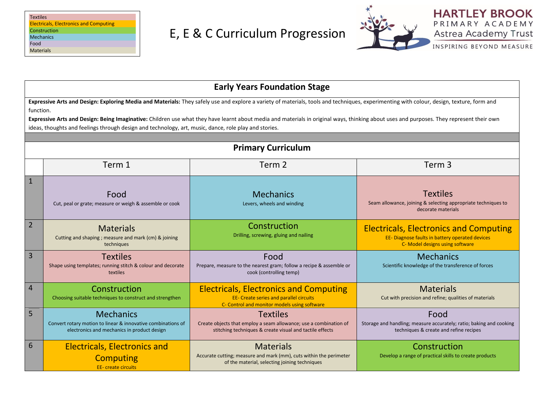| <b>Textiles</b>                               |  |
|-----------------------------------------------|--|
| <b>Electricals, Electronics and Computing</b> |  |
| Construction                                  |  |
| <b>Mechanics</b>                              |  |
| Food                                          |  |
| <b>Materials</b>                              |  |



**HARTLEY BROOK** PRIMARY ACADEMY Astrea Academy Trust

INSPIRING BEYOND MEASURE

|                 | <b>Early Years Foundation Stage</b>                                                                                                                                                                                                                                                                                                                                                                                                                                                                         |                                                                                                                                                  |                                                                                                                                     |  |  |  |
|-----------------|-------------------------------------------------------------------------------------------------------------------------------------------------------------------------------------------------------------------------------------------------------------------------------------------------------------------------------------------------------------------------------------------------------------------------------------------------------------------------------------------------------------|--------------------------------------------------------------------------------------------------------------------------------------------------|-------------------------------------------------------------------------------------------------------------------------------------|--|--|--|
|                 | Expressive Arts and Design: Exploring Media and Materials: They safely use and explore a variety of materials, tools and techniques, experimenting with colour, design, texture, form and<br>function.<br>Expressive Arts and Design: Being Imaginative: Children use what they have learnt about media and materials in original ways, thinking about uses and purposes. They represent their own<br>ideas, thoughts and feelings through design and technology, art, music, dance, role play and stories. |                                                                                                                                                  |                                                                                                                                     |  |  |  |
|                 |                                                                                                                                                                                                                                                                                                                                                                                                                                                                                                             | <b>Primary Curriculum</b>                                                                                                                        |                                                                                                                                     |  |  |  |
|                 | Term 1                                                                                                                                                                                                                                                                                                                                                                                                                                                                                                      | Term 2                                                                                                                                           | Term 3                                                                                                                              |  |  |  |
| $\mathbf{1}$    | Food<br>Cut, peal or grate; measure or weigh & assemble or cook                                                                                                                                                                                                                                                                                                                                                                                                                                             | <b>Mechanics</b><br>Levers, wheels and winding                                                                                                   | <b>Textiles</b><br>Seam allowance, joining & selecting appropriate techniques to<br>decorate materials                              |  |  |  |
| $\overline{2}$  | <b>Materials</b><br>Cutting and shaping ; measure and mark (cm) & joining<br>techniques                                                                                                                                                                                                                                                                                                                                                                                                                     | Construction<br>Drilling, screwing, gluing and nailing                                                                                           | <b>Electricals, Electronics and Computing</b><br>EE- Diagnose faults in battery operated devices<br>C- Model designs using software |  |  |  |
| $\overline{3}$  | <b>Textiles</b><br>Shape using templates; running stitch & colour and decorate<br>textiles                                                                                                                                                                                                                                                                                                                                                                                                                  | Food<br>Prepare, measure to the nearest gram; follow a recipe & assemble or<br>cook (controlling temp)                                           | <b>Mechanics</b><br>Scientific knowledge of the transference of forces                                                              |  |  |  |
| $\overline{4}$  | Construction<br>Choosing suitable techniques to construct and strengthen                                                                                                                                                                                                                                                                                                                                                                                                                                    | <b>Electricals, Electronics and Computing</b><br><b>EE- Create series and parallel circuits</b><br>C- Control and monitor models using software  | <b>Materials</b><br>Cut with precision and refine; qualities of materials                                                           |  |  |  |
| 5               | <b>Mechanics</b><br>Convert rotary motion to linear & innovative combinations of<br>electronics and mechanics in product design                                                                                                                                                                                                                                                                                                                                                                             | <b>Textiles</b><br>Create objects that employ a seam allowance; use a combination of<br>stitching techniques & create visual and tactile effects | Food<br>Storage and handling; measure accurately; ratio; baking and cooking<br>techniques & create and refine recipes               |  |  |  |
| $6\phantom{1}6$ | <b>Electricals, Electronics and</b><br><b>Computing</b><br><b>EE-</b> create circuits                                                                                                                                                                                                                                                                                                                                                                                                                       | <b>Materials</b><br>Accurate cutting; measure and mark (mm), cuts within the perimeter<br>of the material, selecting joining techniques          | Construction<br>Develop a range of practical skills to create products                                                              |  |  |  |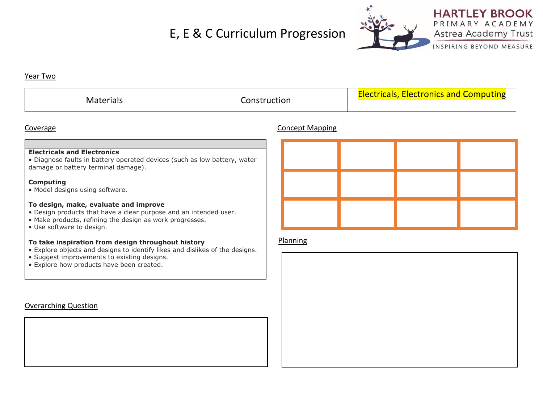

**HARTLEY BROOK** PRIMARY ACADEMY Astrea Academy Trust

INSPIRING BEYOND MEASURE

### Year Two

| Materials | Construction | <u>lectricals, Electronics and Computing</u> |
|-----------|--------------|----------------------------------------------|
|-----------|--------------|----------------------------------------------|

# Coverage Concept Mapping

# **Electricals and Electronics**

• Diagnose faults in battery operated devices (such as low battery, water damage or battery terminal damage).

# **Computing**

• Model designs using software.

#### **To design, make, evaluate and improve**

- Design products that have a clear purpose and an intended user.
- Make products, refining the design as work progresses.
- Use software to design.

#### **To take inspiration from design throughout history**

- Explore objects and designs to identify likes and dislikes of the designs.
- Suggest improvements to existing designs.
- Explore how products have been created.

# Overarching Question



# Planning

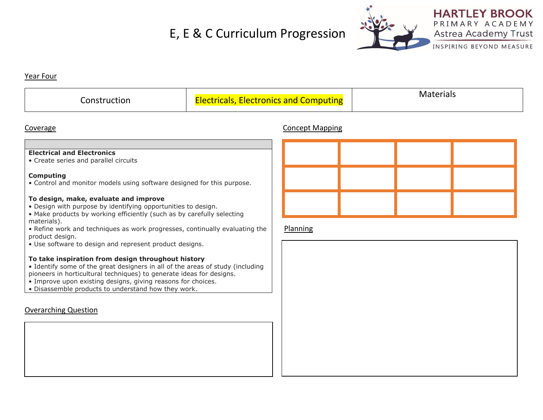

#### Year Four

| <b>omputing</b><br>FIECTronics<br>ann t<br>- 11<br>. . | 14 L |
|--------------------------------------------------------|------|
|                                                        |      |

### Coverage Concept Mapping

# **Electrical and Electronics**

• Create series and parallel circuits

#### **Computing**

• Control and monitor models using software designed for this purpose.

#### **To design, make, evaluate and improve**

- Design with purpose by identifying opportunities to design.
- Make products by working efficiently (such as by carefully selecting materials).
- Refine work and techniques as work progresses, continually evaluating the product design.
- Use software to design and represent product designs.

#### **To take inspiration from design throughout history**

- Identify some of the great designers in all of the areas of study (including pioneers in horticultural techniques) to generate ideas for designs.
- Improve upon existing designs, giving reasons for choices.
- Disassemble products to understand how they work.

# Overarching Question

# Planning